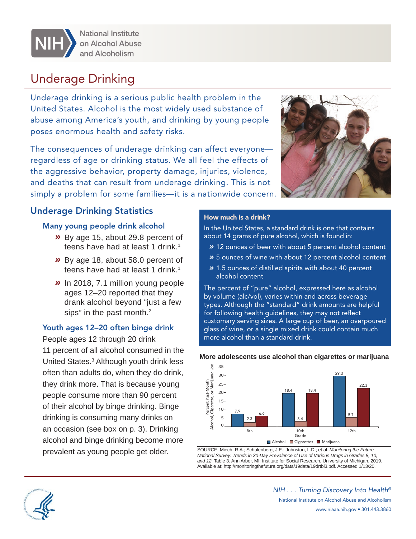

**National Institute** on Alcohol Abuse and Alcoholism

# Underage Drinking

Underage drinking is a serious public health problem in the United States. Alcohol is the most widely used substance of abuse among America's youth, and drinking by young people poses enormous health and safety risks.

 simply a problem for some families—it is a nationwide concern. The consequences of underage drinking can affect everyone regardless of age or drinking status. We all feel the effects of the aggressive behavior, property damage, injuries, violence, and deaths that can result from underage drinking. This is not

### Underage Drinking Statistics

#### Many young people drink alcohol

- *»* By age 15, about 29.8 percent of teens have had at least 1 drink.<sup>1</sup>
- *»* By age 18, about 58.0 percent of teens have had at least 1 drink.<sup>1</sup>
- sips" in the past month.<sup>2</sup> *»* In 2018, 7.1 million young people ages 12–20 reported that they drank alcohol beyond "just a few

#### Youth ages 12–20 often binge drink

People ages 12 through 20 drink 11 percent of all alcohol consumed in the United States.3 Although youth drink less often than adults do, when they do drink, they drink more. That is because young people consume more than 90 percent of their alcohol by binge drinking. Binge drinking is consuming many drinks on an occasion (see box on p. 3). Drinking alcohol and binge drinking become more prevalent as young people get older.



#### How much is a drink?

In the United States, a standard drink is one that contains about 14 grams of pure alcohol, which is found in:

- *»* 12 ounces of beer with about 5 percent alcohol content
- *»* 5 ounces of wine with about 12 percent alcohol content
- *»* 1.5 ounces of distilled spirits with about 40 percent alcohol content

The percent of "pure" alcohol, expressed here as alcohol by volume (alc/vol), varies within and across beverage types. Although the "standard" drink amounts are helpful for following health guidelines, they may not reflect customary serving sizes. A large cup of beer, an overpoured glass of wine, or a single mixed drink could contain much more alcohol than a standard drink.



#### **More adolescents use alcohol than cigarettes or marijuana**

SOURCE: Miech, R.A.; Schulenberg, J.E.; Johnston, L.D.; et al. *Monitoring the Future National Survey: Trends in 30-Day Prevalence of Use of Various Drugs in Grades 8, 10, and 12*. Table 3. Ann Arbor, MI: Institute for Social Research, University of Michigan, 2019. Available at: http://monitoringthefuture.org/data/19data/19drtbl3.pdf. Accessed 1/13/20.



*NIH . . . Turning Discovery Into Health®*  National Institute on Alcohol Abuse and Alcoholism www.niaaa.nih.gov • 301.443.3860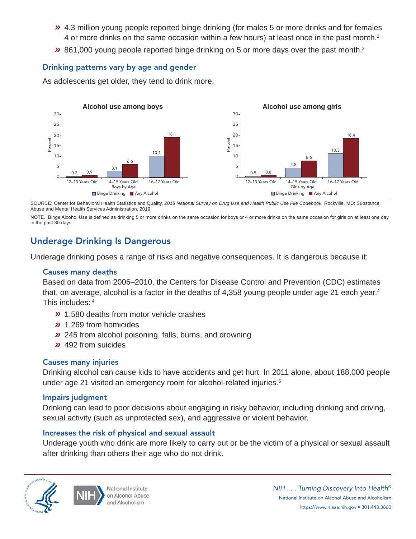- *»* 4.3 million young people reported binge drinking (for males 5 or more drinks and for females 4 or more drinks on the same occasion within a few hours) at least once in the past month. 2
- *»* 861,000 young people reported binge drinking on 5 or more days over the past month.2

#### Drinking patterns vary by age and gender

As adolescents get older, they tend to drink more.



SOURCE: Center for Behavioral Health Statistics and Quality. *2018 National Survey on Drug Use and Health Public Use File Codebook.* Rockville, MD: Substance Abuse and Mental Health Services Administration, 2019.

NOTE. Binge Alcohol Use is defined as drinking 5 or more drinks on the same occasion for boys or 4 or more drinks on the same occasion for girls on at least one day in the past 30 days.

### Underage Drinking Is Dangerous

Underage drinking poses a range of risks and negative consequences. It is dangerous because it:

#### Causes many deaths

Based on data from 2006–2010, the Centers for Disease Control and Prevention (CDC) estimates that, on average, alcohol is a factor in the deaths of  $4,358$  young people under age 21 each year.<sup>4</sup> This includes: 4

- *»* 1,580 deaths from motor vehicle crashes
- *»* 1,269 from homicides
- *»* 245 from alcohol poisoning, falls, burns, and drowning
- *»* 492 from suicides

#### Causes many injuries

Drinking alcohol can cause kids to have accidents and get hurt. In 2011 alone, about 188,000 people under age 21 visited an emergency room for alcohol-related injuries.<sup>5</sup>

#### Impairs judgment

Drinking can lead to poor decisions about engaging in risky behavior, including drinking and driving, sexual activity (such as unprotected sex), and aggressive or violent behavior.

#### Increases the risk of physical and sexual assault

Underage youth who drink are more likely to carry out or be the victim of a physical or sexual assault after drinking than others their age who do not drink.



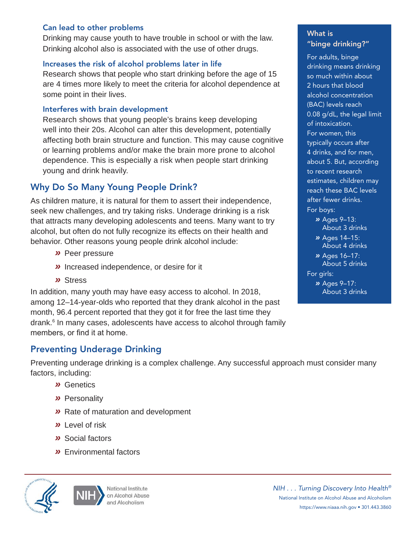#### Can lead to other problems

Drinking may cause youth to have trouble in school or with the law. Drinking alcohol also is associated with the use of other drugs.

#### Increases the risk of alcohol problems later in life

Research shows that people who start drinking before the age of 15 are 4 times more likely to meet the criteria for alcohol dependence at some point in their lives.

#### Interferes with brain development

Research shows that young people's brains keep developing well into their 20s. Alcohol can alter this development, potentially affecting both brain structure and function. This may cause cognitive or learning problems and/or make the brain more prone to alcohol dependence. This is especially a risk when people start drinking young and drink heavily.

## Why Do So Many Young People Drink?

As children mature, it is natural for them to assert their independence, seek new challenges, and try taking risks. Underage drinking is a risk that attracts many developing adolescents and teens. Many want to try alcohol, but often do not fully recognize its effects on their health and behavior. Other reasons young people drink alcohol include:

- *»* Peer pressure
- *»* Increased independence, or desire for it
- *»* Stress

In addition, many youth may have easy access to alcohol. In 2018, among 12–14-year-olds who reported that they drank alcohol in the past month, 96.4 percent reported that they got it for free the last time they drank.<sup>6</sup> In many cases, adolescents have access to alcohol through family members, or find it at home.

### Preventing Underage Drinking

Preventing underage drinking is a complex challenge. Any successful approach must consider many factors, including:

- *»* Genetics
- *»* Personality
- *»* Rate of maturation and development
- *»* Level of risk
- *»* Social factors
- *»* Environmental factors





What is "binge drinking?"

For adults, binge drinking means drinking so much within about 2 hours that blood alcohol concentration (BAC) levels reach 0.08 g/dL, the legal limit of intoxication. For women, this typically occurs after 4 drinks, and for men, about 5. But, according to recent research estimates, children may reach these BAC levels after fewer drinks. For boys:

 *»* Ages 9–13: *»* Ages 14–15: *»* Ages 16–17: *»* Ages 9–17: About 3 drinks About 4 drinks About 5 drinks For girls: About 3 drinks

*NIH . . . Turning Discovery Into Health®* National Institute on Alcohol Abuse and Alcoholism https://www.niaaa.nih.gov • 301.443.3860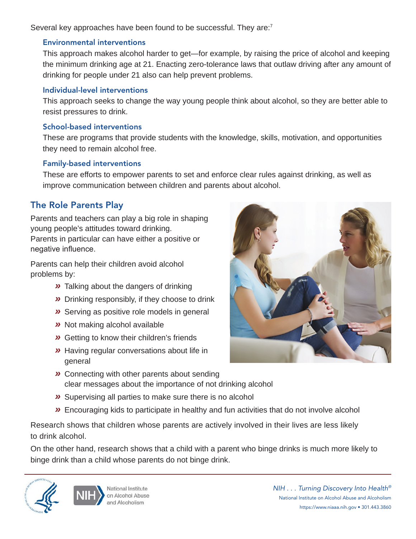Several key approaches have been found to be successful. They are:<sup>7</sup>

#### Environmental interventions

This approach makes alcohol harder to get—for example, by raising the price of alcohol and keeping the minimum drinking age at 21. Enacting zero-tolerance laws that outlaw driving after any amount of drinking for people under 21 also can help prevent problems.

#### Individual-level interventions

This approach seeks to change the way young people think about alcohol, so they are better able to resist pressures to drink.

### School-based interventions

These are programs that provide students with the knowledge, skills, motivation, and opportunities they need to remain alcohol free.

### Family-based interventions

These are efforts to empower parents to set and enforce clear rules against drinking, as well as improve communication between children and parents about alcohol.

# The Role Parents Play

Parents and teachers can play a big role in shaping young people's attitudes toward drinking. Parents in particular can have either a positive or negative influence.

Parents can help their children avoid alcohol problems by:

- *»* Talking about the dangers of drinking
- *»* Drinking responsibly, if they choose to drink
- *»* Serving as positive role models in general
- *»* Not making alcohol available
- *»* Getting to know their children's friends
- *»* Having regular conversations about life in general
- 
- *»* Connecting with other parents about sending clear messages about the importance of not drinking alcohol
- *»* Supervising all parties to make sure there is no alcohol
- *»* Encouraging kids to participate in healthy and fun activities that do not involve alcohol

Research shows that children whose parents are actively involved in their lives are less likely to drink alcohol.

On the other hand, research shows that a child with a parent who binge drinks is much more likely to binge drink than a child whose parents do not binge drink.





*NIH . . . Turning Discovery Into Health®* National Institute on Alcohol Abuse and Alcoholism https://www.niaaa.nih.gov • 301.443.3860